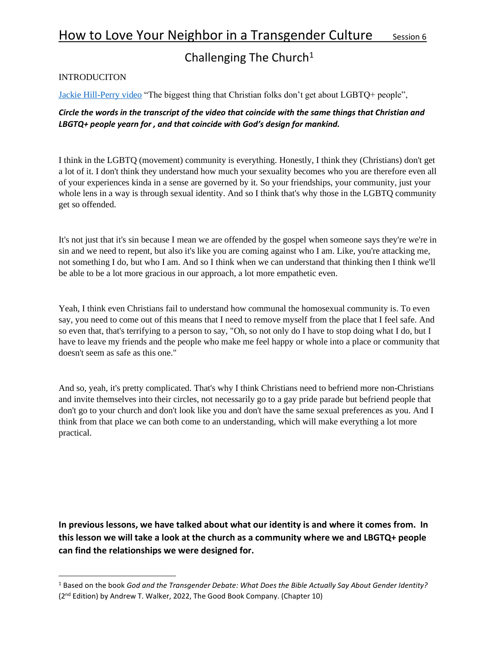## Challenging The Church<sup>1</sup>

## **INTRODUCITON**

[Jackie Hill-Perry video](https://www.youtube.com/watch?v=Er4OnGcdoQQ) "The biggest thing that Christian folks don't get about LGBTQ+ people",

## *Circle the words in the transcript of the video that coincide with the same things that Christian and LBGTQ+ people yearn for , and that coincide with God's design for mankind.*

I think in the LGBTQ (movement) community is everything. Honestly, I think they (Christians) don't get a lot of it. I don't think they understand how much your sexuality becomes who you are therefore even all of your experiences kinda in a sense are governed by it. So your friendships, your community, just your whole lens in a way is through sexual identity. And so I think that's why those in the LGBTQ community get so offended.

It's not just that it's sin because I mean we are offended by the gospel when someone says they're we're in sin and we need to repent, but also it's like you are coming against who I am. Like, you're attacking me, not something I do, but who I am. And so I think when we can understand that thinking then I think we'll be able to be a lot more gracious in our approach, a lot more empathetic even.

Yeah, I think even Christians fail to understand how communal the homosexual community is. To even say, you need to come out of this means that I need to remove myself from the place that I feel safe. And so even that, that's terrifying to a person to say, "Oh, so not only do I have to stop doing what I do, but I have to leave my friends and the people who make me feel happy or whole into a place or community that doesn't seem as safe as this one."

And so, yeah, it's pretty complicated. That's why I think Christians need to befriend more non-Christians and invite themselves into their circles, not necessarily go to a gay pride parade but befriend people that don't go to your church and don't look like you and don't have the same sexual preferences as you. And I think from that place we can both come to an understanding, which will make everything a lot more practical.

**In previous lessons, we have talked about what our identity is and where it comes from. In this lesson we will take a look at the church as a community where we and LBGTQ+ people can find the relationships we were designed for.**

<sup>1</sup> Based on the book *God and the Transgender Debate: What Does the Bible Actually Say About Gender Identity?* (2nd Edition) by Andrew T. Walker, 2022, The Good Book Company. (Chapter 10)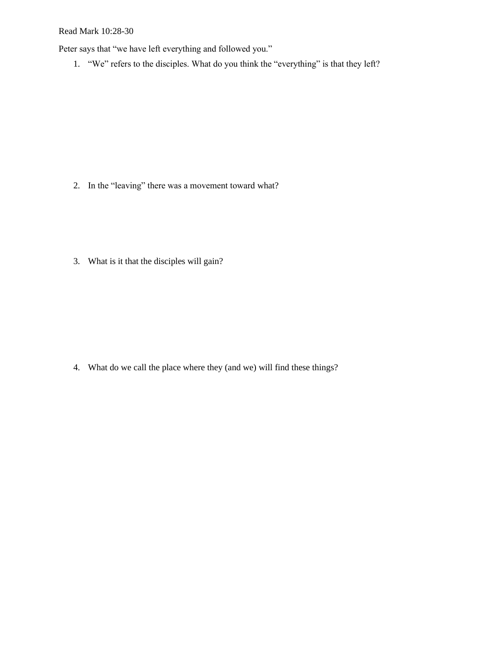Read Mark 10:28-30

Peter says that "we have left everything and followed you."

1. "We" refers to the disciples. What do you think the "everything" is that they left?

2. In the "leaving" there was a movement toward what?

3. What is it that the disciples will gain?

4. What do we call the place where they (and we) will find these things?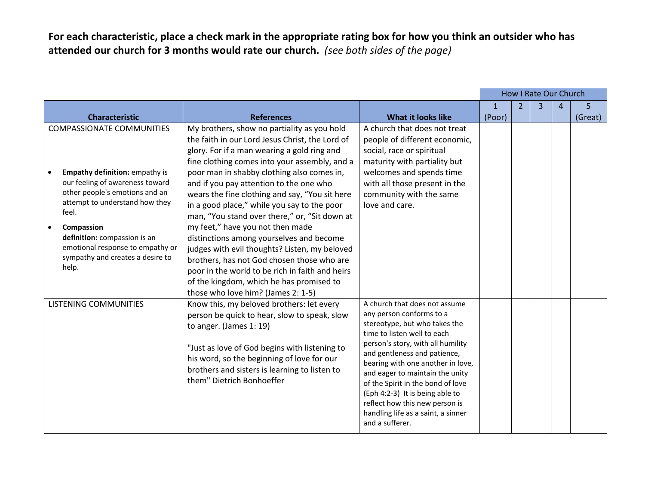**For each characteristic, place a check mark in the appropriate rating box for how you think an outsider who has attended our church for 3 months would rate our church.** *(see both sides of the page)*

|                                                                                                              |                                                                                                                                                                           |                                                              | How I Rate Our Church |                |   |                |         |
|--------------------------------------------------------------------------------------------------------------|---------------------------------------------------------------------------------------------------------------------------------------------------------------------------|--------------------------------------------------------------|-----------------------|----------------|---|----------------|---------|
|                                                                                                              |                                                                                                                                                                           |                                                              | $\mathbf{1}$          | $\overline{2}$ | 3 | $\overline{4}$ | 5       |
| <b>Characteristic</b>                                                                                        | <b>References</b>                                                                                                                                                         | <b>What it looks like</b>                                    | (Poor)                |                |   |                | (Great) |
| <b>COMPASSIONATE COMMUNITIES</b>                                                                             | My brothers, show no partiality as you hold                                                                                                                               | A church that does not treat                                 |                       |                |   |                |         |
|                                                                                                              | the faith in our Lord Jesus Christ, the Lord of                                                                                                                           | people of different economic,                                |                       |                |   |                |         |
|                                                                                                              | glory. For if a man wearing a gold ring and                                                                                                                               | social, race or spiritual                                    |                       |                |   |                |         |
|                                                                                                              | fine clothing comes into your assembly, and a                                                                                                                             | maturity with partiality but                                 |                       |                |   |                |         |
| <b>Empathy definition: empathy is</b>                                                                        | poor man in shabby clothing also comes in,                                                                                                                                | welcomes and spends time                                     |                       |                |   |                |         |
| our feeling of awareness toward<br>other people's emotions and an<br>attempt to understand how they<br>feel. | and if you pay attention to the one who                                                                                                                                   | with all those present in the                                |                       |                |   |                |         |
|                                                                                                              | wears the fine clothing and say, "You sit here                                                                                                                            | community with the same                                      |                       |                |   |                |         |
|                                                                                                              | in a good place," while you say to the poor                                                                                                                               | love and care.                                               |                       |                |   |                |         |
|                                                                                                              | man, "You stand over there," or, "Sit down at                                                                                                                             |                                                              |                       |                |   |                |         |
| Compassion<br>$\bullet$                                                                                      | my feet," have you not then made                                                                                                                                          |                                                              |                       |                |   |                |         |
| definition: compassion is an                                                                                 | distinctions among yourselves and become                                                                                                                                  |                                                              |                       |                |   |                |         |
| emotional response to empathy or                                                                             | judges with evil thoughts? Listen, my beloved                                                                                                                             |                                                              |                       |                |   |                |         |
| sympathy and creates a desire to<br>help.                                                                    | brothers, has not God chosen those who are                                                                                                                                |                                                              |                       |                |   |                |         |
|                                                                                                              | poor in the world to be rich in faith and heirs                                                                                                                           |                                                              |                       |                |   |                |         |
|                                                                                                              | of the kingdom, which he has promised to                                                                                                                                  |                                                              |                       |                |   |                |         |
|                                                                                                              | those who love him? (James 2: 1-5)                                                                                                                                        |                                                              |                       |                |   |                |         |
| LISTENING COMMUNITIES                                                                                        | Know this, my beloved brothers: let every                                                                                                                                 | A church that does not assume                                |                       |                |   |                |         |
|                                                                                                              | person be quick to hear, slow to speak, slow                                                                                                                              | any person conforms to a                                     |                       |                |   |                |         |
|                                                                                                              | to anger. (James $1:19$ )                                                                                                                                                 | stereotype, but who takes the<br>time to listen well to each |                       |                |   |                |         |
|                                                                                                              | "Just as love of God begins with listening to<br>his word, so the beginning of love for our<br>brothers and sisters is learning to listen to<br>them" Dietrich Bonhoeffer | person's story, with all humility                            |                       |                |   |                |         |
|                                                                                                              |                                                                                                                                                                           | and gentleness and patience,                                 |                       |                |   |                |         |
|                                                                                                              |                                                                                                                                                                           | bearing with one another in love,                            |                       |                |   |                |         |
|                                                                                                              |                                                                                                                                                                           | and eager to maintain the unity                              |                       |                |   |                |         |
|                                                                                                              |                                                                                                                                                                           | of the Spirit in the bond of love                            |                       |                |   |                |         |
|                                                                                                              |                                                                                                                                                                           | (Eph 4:2-3) It is being able to                              |                       |                |   |                |         |
|                                                                                                              |                                                                                                                                                                           | reflect how this new person is                               |                       |                |   |                |         |
|                                                                                                              |                                                                                                                                                                           | handling life as a saint, a sinner                           |                       |                |   |                |         |
|                                                                                                              |                                                                                                                                                                           | and a sufferer.                                              |                       |                |   |                |         |